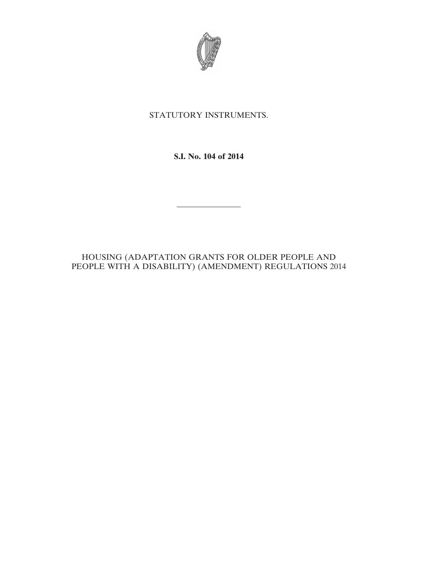

# STATUTORY INSTRUMENTS.

**S.I. No. 104 of 2014**

————————

## HOUSING (ADAPTATION GRANTS FOR OLDER PEOPLE AND PEOPLE WITH A DISABILITY) (AMENDMENT) REGULATIONS 2014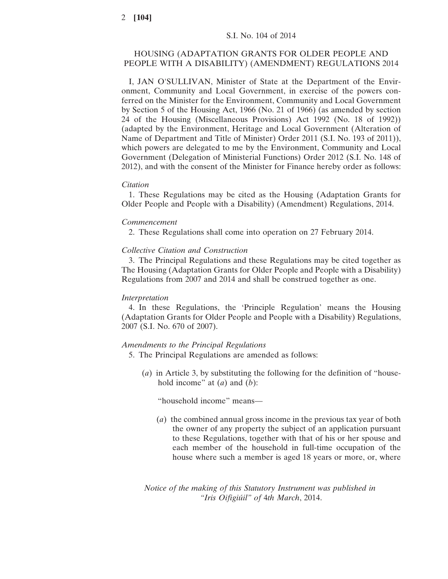### HOUSING (ADAPTATION GRANTS FOR OLDER PEOPLE AND PEOPLE WITH A DISABILITY) (AMENDMENT) REGULATIONS 2014

I, JAN O'SULLIVAN, Minister of State at the Department of the Environment, Community and Local Government, in exercise of the powers conferred on the Minister for the Environment, Community and Local Government by Section 5 of the Housing Act, 1966 (No. 21 of 1966) (as amended by section 24 of the Housing (Miscellaneous Provisions) Act 1992 (No. 18 of 1992)) (adapted by the Environment, Heritage and Local Government (Alteration of Name of Department and Title of Minister) Order 2011 (S.I. No. 193 of 2011)), which powers are delegated to me by the Environment, Community and Local Government (Delegation of Ministerial Functions) Order 2012 (S.I. No. 148 of 2012), and with the consent of the Minister for Finance hereby order as follows:

#### *Citation*

1. These Regulations may be cited as the Housing (Adaptation Grants for Older People and People with a Disability) (Amendment) Regulations, 2014.

#### *Commencement*

2. These Regulations shall come into operation on 27 February 2014.

#### *Collective Citation and Construction*

3. The Principal Regulations and these Regulations may be cited together as The Housing (Adaptation Grants for Older People and People with a Disability) Regulations from 2007 and 2014 and shall be construed together as one.

### *Interpretation*

4. In these Regulations, the 'Principle Regulation' means the Housing (Adaptation Grants for Older People and People with a Disability) Regulations, 2007 (S.I. No. 670 of 2007).

#### *Amendments to the Principal Regulations*

5. The Principal Regulations are amended as follows:

(*a*) in Article 3, by substituting the following for the definition of "household income" at (*a*) and (*b*):

"household income" means—

(*a*) the combined annual gross income in the previous tax year of both the owner of any property the subject of an application pursuant to these Regulations, together with that of his or her spouse and each member of the household in full-time occupation of the house where such a member is aged 18 years or more, or, where

*Notice of the making of this Statutory Instrument was published in "Iris Oifigiúil" of* 4*th March*, 2014.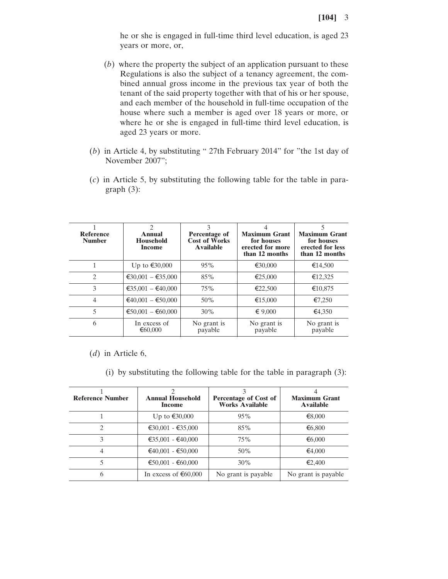he or she is engaged in full-time third level education, is aged 23 years or more, or,

- (*b*) where the property the subject of an application pursuant to these Regulations is also the subject of a tenancy agreement, the combined annual gross income in the previous tax year of both the tenant of the said property together with that of his or her spouse, and each member of the household in full-time occupation of the house where such a member is aged over 18 years or more, or where he or she is engaged in full-time third level education, is aged 23 years or more.
- (*b*) in Article 4, by substituting " 27th February 2014" for "the 1st day of November 2007";
- (*c*) in Article 5, by substituting the following table for the table in paragraph (3):

| <b>Reference</b><br><b>Number</b> | $\mathfrak{D}$<br>Annual<br><b>Household</b><br>Income | 3<br>Percentage of<br><b>Cost of Works</b><br><b>Available</b> | <b>Maximum Grant</b><br>for houses<br>erected for more<br>than 12 months | 5<br><b>Maximum Grant</b><br>for houses<br>erected for less<br>than 12 months |
|-----------------------------------|--------------------------------------------------------|----------------------------------------------------------------|--------------------------------------------------------------------------|-------------------------------------------------------------------------------|
|                                   | Up to €30,000                                          | 95%                                                            | €30,000                                                                  | €14,500                                                                       |
| $\mathcal{L}$                     | $€30,001 - €35,000$                                    | 85%                                                            | €25,000                                                                  | €12,325                                                                       |
| 3                                 | €35,001 – €40,000                                      | 75%                                                            | €22,500                                                                  | €10,875                                                                       |
| $\overline{4}$                    | $€40,001 - €50,000$                                    | 50%                                                            | €15,000                                                                  | €7,250                                                                        |
| 5                                 | $€50,001 - €60,000$                                    | 30%                                                            | $\epsilon$ 9.000                                                         | €4.350                                                                        |
| 6                                 | In excess of<br>€ $60,000$                             | No grant is<br>payable                                         | No grant is<br>payable                                                   | No grant is<br>payable                                                        |

(*d*) in Article 6,

(i) by substituting the following table for the table in paragraph (3):

| <b>Reference Number</b> | <b>Annual Household</b><br>Income | Percentage of Cost of<br><b>Works Available</b> | <b>Maximum Grant</b><br><b>Available</b> |
|-------------------------|-----------------------------------|-------------------------------------------------|------------------------------------------|
|                         | Up to €30,000                     | 95%                                             | €8,000                                   |
|                         | $€30,001 - €35,000$               | 85%                                             | €6,800                                   |
| 3                       | $€35,001 - €40,000$               | 75%                                             | € $6,000$                                |
| 4                       | $€40,001 - €50,000$               | 50%                                             | €4,000                                   |
| 5                       | $€50,001 - €60,000$               | 30%                                             | €2,400                                   |
| 6                       | In excess of $\epsilon$ 60,000    | No grant is payable                             | No grant is payable.                     |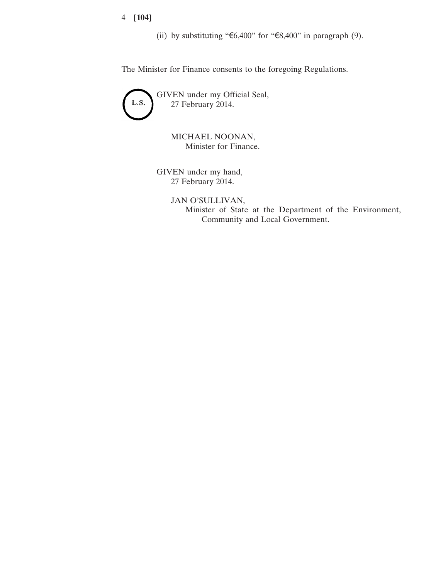4 **[104]**

(ii) by substituting "€6,400" for "€8,400" in paragraph (9).

The Minister for Finance consents to the foregoing Regulations.



MICHAEL NOONAN, Minister for Finance.

GIVEN under my hand, 27 February 2014.

> JAN O'SULLIVAN, Minister of State at the Department of the Environment, Community and Local Government.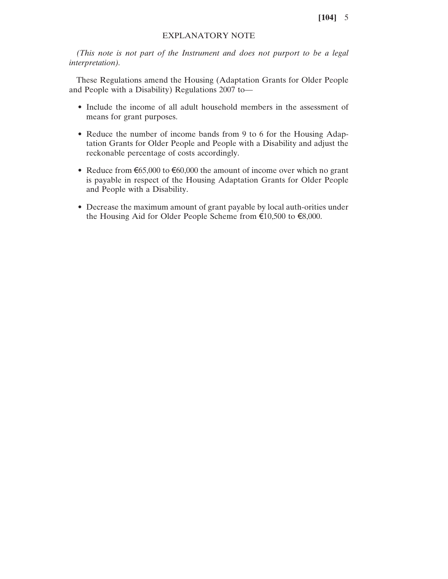## EXPLANATORY NOTE

*(This note is not part of the Instrument and does not purport to be a legal interpretation).*

These Regulations amend the Housing (Adaptation Grants for Older People and People with a Disability) Regulations 2007 to—

- Include the income of all adult household members in the assessment of means for grant purposes.
- Reduce the number of income bands from 9 to 6 for the Housing Adaptation Grants for Older People and People with a Disability and adjust the reckonable percentage of costs accordingly.
- Reduce from €65,000 to €60,000 the amount of income over which no grant is payable in respect of the Housing Adaptation Grants for Older People and People with a Disability.
- Decrease the maximum amount of grant payable by local auth-orities under the Housing Aid for Older People Scheme from €10,500 to €8,000.